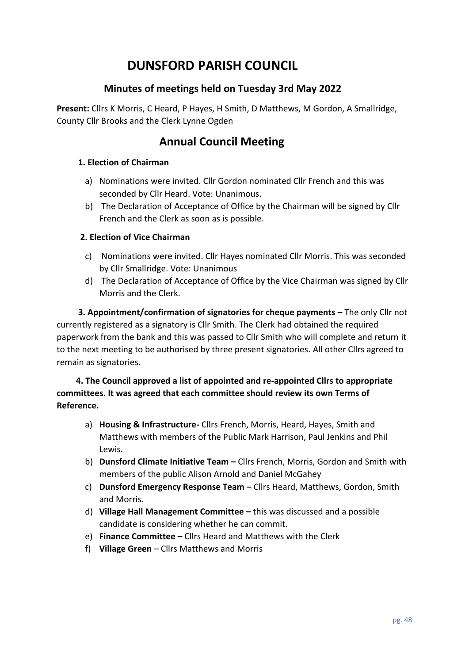# **DUNSFORD PARISH COUNCIL**

## **Minutes of meetings held on Tuesday 3rd May 2022**

**Present:** Cllrs K Morris, C Heard, P Hayes, H Smith, D Matthews, M Gordon, A Smallridge, County Cllr Brooks and the Clerk Lynne Ogden

## **Annual Council Meeting**

#### **1. Election of Chairman**

- a) Nominations were invited. Cllr Gordon nominated Cllr French and this was seconded by Cllr Heard. Vote: Unanimous.
- b) The Declaration of Acceptance of Office by the Chairman will be signed by Cllr French and the Clerk as soon as is possible.

#### **2. Election of Vice Chairman**

- c) Nominations were invited. Cllr Hayes nominated Cllr Morris. This was seconded by Cllr Smallridge. Vote: Unanimous
- d) The Declaration of Acceptance of Office by the Vice Chairman was signed by Cllr Morris and the Clerk.

 **3. Appointment/confirmation of signatories for cheque payments –** The only Cllr not currently registered as a signatory is Cllr Smith. The Clerk had obtained the required paperwork from the bank and this was passed to Cllr Smith who will complete and return it to the next meeting to be authorised by three present signatories. All other Cllrs agreed to remain as signatories.

### **4. The Council approved a list of appointed and re-appointed Cllrs to appropriate committees. It was agreed that each committee should review its own Terms of Reference.**

- a) **Housing & Infrastructure-** Cllrs French, Morris, Heard, Hayes, Smith and Matthews with members of the Public Mark Harrison, Paul Jenkins and Phil Lewis.
- b) **Dunsford Climate Initiative Team –** Cllrs French, Morris, Gordon and Smith with members of the public Alison Arnold and Daniel McGahey
- c) **Dunsford Emergency Response Team –** Cllrs Heard, Matthews, Gordon, Smith and Morris.
- d) **Village Hall Management Committee –** this was discussed and a possible candidate is considering whether he can commit.
- e) **Finance Committee –** Cllrs Heard and Matthews with the Clerk
- f) **Village Green** Cllrs Matthews and Morris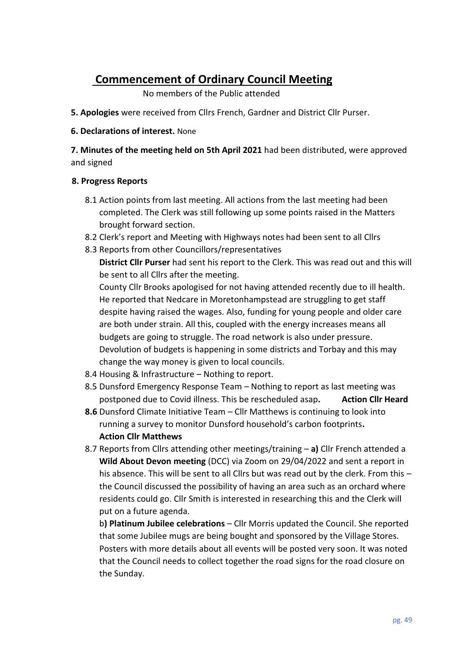## **Commencement of Ordinary Council Meeting**

No members of the Public attended

- **5. Apologies** were received from Cllrs French, Gardner and District Cllr Purser.
- **6. Declarations of interest.** None

**7. Minutes of the meeting held on 5th April 2021** had been distributed, were approved and signed

#### **8. Progress Reports**

- 8.1 Action points from last meeting. All actions from the last meeting had been completed. The Clerk was still following up some points raised in the Matters brought forward section.
- 8.2 Clerk's report and Meeting with Highways notes had been sent to all Cllrs
- 8.3 Reports from other Councillors/representatives

**District Cllr Purser** had sent his report to the Clerk. This was read out and this will be sent to all Cllrs after the meeting.

County Cllr Brooks apologised for not having attended recently due to ill health. He reported that Nedcare in Moretonhampstead are struggling to get staff despite having raised the wages. Also, funding for young people and older care are both under strain. All this, coupled with the energy increases means all budgets are going to struggle. The road network is also under pressure. Devolution of budgets is happening in some districts and Torbay and this may change the way money is given to local councils.

- 8.4 Housing & Infrastructure Nothing to report.
- 8.5 Dunsford Emergency Response Team Nothing to report as last meeting was postponed due to Covid illness. This be rescheduled asap. Action Cllr Heard
- **8.6** Dunsford Climate Initiative Team Cllr Matthews is continuing to look into running a survey to monitor Dunsford household's carbon footprints**. Action Cllr Matthews**
- 8.7 Reports from Cllrs attending other meetings/training **a)** Cllr French attended a **Wild About Devon meeting** (DCC) via Zoom on 29/04/2022 and sent a report in his absence. This will be sent to all Cllrs but was read out by the clerk. From this – the Council discussed the possibility of having an area such as an orchard where residents could go. Cllr Smith is interested in researching this and the Clerk will put on a future agenda.

b**) Platinum Jubilee celebrations** – Cllr Morris updated the Council. She reported that some Jubilee mugs are being bought and sponsored by the Village Stores. Posters with more details about all events will be posted very soon. It was noted that the Council needs to collect together the road signs for the road closure on the Sunday.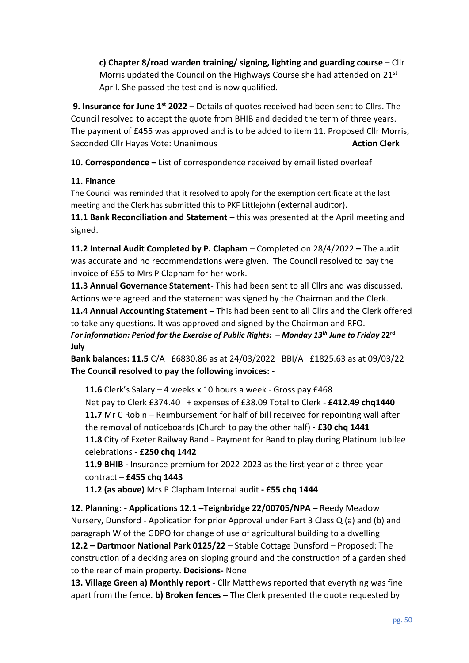**c) Chapter 8/road warden training/ signing, lighting and guarding course** – Cllr Morris updated the Council on the Highways Course she had attended on 21st April. She passed the test and is now qualified.

**9. Insurance for June 1st 2022** – Details of quotes received had been sent to Cllrs. The Council resolved to accept the quote from BHIB and decided the term of three years. The payment of £455 was approved and is to be added to item 11. Proposed Cllr Morris, Seconded Cllr Hayes Vote: Unanimous **Action Clerk Action Clerk** 

**10. Correspondence –** List of correspondence received by email listed overleaf

### **11. Finance**

The Council was reminded that it resolved to apply for the exemption certificate at the last meeting and the Clerk has submitted this to PKF Littlejohn (external auditor).

**11.1 Bank Reconciliation and Statement –** this was presented at the April meeting and signed.

**11.2 Internal Audit Completed by P. Clapham** – Completed on 28/4/2022 **–** The audit was accurate and no recommendations were given. The Council resolved to pay the invoice of £55 to Mrs P Clapham for her work.

**11.3 Annual Governance Statement-** This had been sent to all Cllrs and was discussed. Actions were agreed and the statement was signed by the Chairman and the Clerk.

**11.4 Annual Accounting Statement –** This had been sent to all Cllrs and the Clerk offered to take any questions. It was approved and signed by the Chairman and RFO. *For information: Period for the Exercise of Public Rights: – Monday 13 th June to Friday* **22 rd July** 

**Bank balances: 11.5** C/A £6830.86 as at 24/03/2022 BBI/A £1825.63 as at 09/03/22 **The Council resolved to pay the following invoices: -**

**11.6** Clerk's Salary – 4 weeks x 10 hours a week - Gross pay £468 Net pay to Clerk £374.40 + expenses of £38.09 Total to Clerk - **£412.49 chq1440 11.7** Mr C Robin **–** Reimbursement for half of bill received for repointing wall after the removal of noticeboards (Church to pay the other half) - **£30 chq 1441 11.8** City of Exeter Railway Band - Payment for Band to play during Platinum Jubilee celebrations **- £250 chq 1442**

**11.9 BHIB -** Insurance premium for 2022-2023 as the first year of a three-year contract – **£455 chq 1443**

**11.2 (as above)** Mrs P Clapham Internal audit **- £55 chq 1444**

**12. Planning: - Applications 12.1 –Teignbridge 22/00705/NPA –** Reedy Meadow Nursery, Dunsford - Application for prior Approval under Part 3 Class Q (a) and (b) and paragraph W of the GDPO for change of use of agricultural building to a dwelling **12.2 – Dartmoor National Park 0125/22** – Stable Cottage Dunsford – Proposed: The construction of a decking area on sloping ground and the construction of a garden shed to the rear of main property. **Decisions-** None

**13. Village Green a) Monthly report -** Cllr Matthews reported that everything was fine apart from the fence. **b) Broken fences –** The Clerk presented the quote requested by